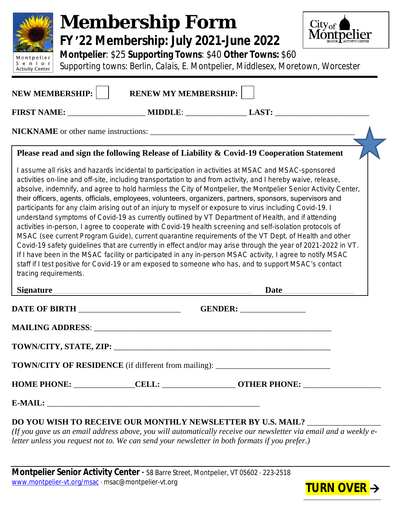

# **Membership Form FY '22 Membership: July 2021-June 2022**



**Montpelier**: \$25 **Supporting Towns**: \$40 **Other Towns:** \$60

*Supporting towns: Berlin, Calais, E. Montpelier, Middlesex, Moretown, Worcester*

|                                                                                    | FIRST NAME: _______________________ MIDDLE: __________________ LAST: ___________________                                                                                                                                                                                                                                                                                                                                                                                                                                                                                                                                                                         |  |
|------------------------------------------------------------------------------------|------------------------------------------------------------------------------------------------------------------------------------------------------------------------------------------------------------------------------------------------------------------------------------------------------------------------------------------------------------------------------------------------------------------------------------------------------------------------------------------------------------------------------------------------------------------------------------------------------------------------------------------------------------------|--|
|                                                                                    |                                                                                                                                                                                                                                                                                                                                                                                                                                                                                                                                                                                                                                                                  |  |
|                                                                                    | Please read and sign the following Release of Liability & Covid-19 Cooperation Statement                                                                                                                                                                                                                                                                                                                                                                                                                                                                                                                                                                         |  |
|                                                                                    | I assume all risks and hazards incidental to participation in activities at MSAC and MSAC-sponsored<br>activities on-line and off-site, including transportation to and from activity, and I hereby waive, release,<br>absolve, indemnify, and agree to hold harmless the City of Montpelier, the Montpelier Senior Activity Center,<br>their officers, agents, officials, employees, volunteers, organizers, partners, sponsors, supervisors and<br>participants for any claim arising out of an injury to myself or exposure to virus including Covid-19. I                                                                                                    |  |
|                                                                                    | understand symptoms of Covid-19 as currently outlined by VT Department of Health, and if attending<br>activities in-person, I agree to cooperate with Covid-19 health screening and self-isolation protocols of<br>MSAC (see current Program Guide), current quarantine requirements of the VT Dept. of Health and other<br>Covid-19 safety guidelines that are currently in effect and/or may arise through the year of 2021-2022 in VT.<br>If I have been in the MSAC facility or participated in any in-person MSAC activity, I agree to notify MSAC<br>staff if I test positive for Covid-19 or am exposed to someone who has, and to support MSAC's contact |  |
|                                                                                    | <b>Date</b>                                                                                                                                                                                                                                                                                                                                                                                                                                                                                                                                                                                                                                                      |  |
|                                                                                    | GENDER:                                                                                                                                                                                                                                                                                                                                                                                                                                                                                                                                                                                                                                                          |  |
|                                                                                    |                                                                                                                                                                                                                                                                                                                                                                                                                                                                                                                                                                                                                                                                  |  |
|                                                                                    |                                                                                                                                                                                                                                                                                                                                                                                                                                                                                                                                                                                                                                                                  |  |
| tracing requirements.<br><b>Signature</b><br>DATE OF BIRTH _______________________ | <b>TOWN/CITY OF RESIDENCE</b> (if different from mailing): ____________________________                                                                                                                                                                                                                                                                                                                                                                                                                                                                                                                                                                          |  |
|                                                                                    |                                                                                                                                                                                                                                                                                                                                                                                                                                                                                                                                                                                                                                                                  |  |

*letter unless you request not to. We can send your newsletter in both formats if you prefer.)*